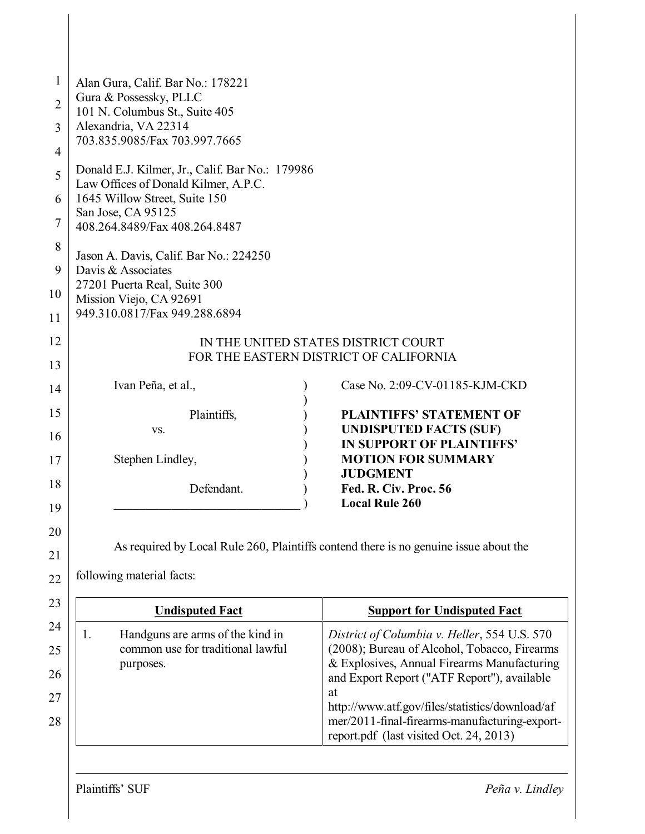| $\mathbf{1}$   | Alan Gura, Calif. Bar No.: 178221                                                           |                                                                                              |  |  |  |  |
|----------------|---------------------------------------------------------------------------------------------|----------------------------------------------------------------------------------------------|--|--|--|--|
| $\overline{2}$ | Gura & Possessky, PLLC                                                                      |                                                                                              |  |  |  |  |
|                | 101 N. Columbus St., Suite 405                                                              |                                                                                              |  |  |  |  |
| 3              | Alexandria, VA 22314<br>703.835.9085/Fax 703.997.7665                                       |                                                                                              |  |  |  |  |
| 4              |                                                                                             |                                                                                              |  |  |  |  |
| 5              | Donald E.J. Kilmer, Jr., Calif. Bar No.: 179986                                             |                                                                                              |  |  |  |  |
| 6              | Law Offices of Donald Kilmer, A.P.C.<br>1645 Willow Street, Suite 150<br>San Jose, CA 95125 |                                                                                              |  |  |  |  |
|                |                                                                                             |                                                                                              |  |  |  |  |
| 7              | 408.264.8489/Fax 408.264.8487                                                               |                                                                                              |  |  |  |  |
| 8              | Jason A. Davis, Calif. Bar No.: 224250                                                      |                                                                                              |  |  |  |  |
| 9              | Davis & Associates                                                                          |                                                                                              |  |  |  |  |
| 10             | 27201 Puerta Real, Suite 300<br>Mission Viejo, CA 92691                                     |                                                                                              |  |  |  |  |
| 11             | 949.310.0817/Fax 949.288.6894                                                               |                                                                                              |  |  |  |  |
|                |                                                                                             |                                                                                              |  |  |  |  |
| 12             |                                                                                             | IN THE UNITED STATES DISTRICT COURT<br>FOR THE EASTERN DISTRICT OF CALIFORNIA                |  |  |  |  |
| 13             |                                                                                             |                                                                                              |  |  |  |  |
| 14             | Ivan Peña, et al.,                                                                          | Case No. 2:09-CV-01185-KJM-CKD                                                               |  |  |  |  |
| 15             | Plaintiffs,                                                                                 | PLAINTIFFS' STATEMENT OF                                                                     |  |  |  |  |
|                | VS.                                                                                         | <b>UNDISPUTED FACTS (SUF)</b>                                                                |  |  |  |  |
| 16             |                                                                                             | IN SUPPORT OF PLAINTIFFS'                                                                    |  |  |  |  |
| 17             | Stephen Lindley,                                                                            | <b>MOTION FOR SUMMARY</b>                                                                    |  |  |  |  |
| 18             | Defendant.                                                                                  | <b>JUDGMENT</b><br>Fed. R. Civ. Proc. 56                                                     |  |  |  |  |
| 19             |                                                                                             | <b>Local Rule 260</b>                                                                        |  |  |  |  |
|                |                                                                                             |                                                                                              |  |  |  |  |
| 20             |                                                                                             | As required by Local Rule 260, Plaintiffs contend there is no genuine issue about the        |  |  |  |  |
| 21             |                                                                                             |                                                                                              |  |  |  |  |
| 22             | following material facts:                                                                   |                                                                                              |  |  |  |  |
| 23             | <b>Undisputed Fact</b>                                                                      | <b>Support for Undisputed Fact</b>                                                           |  |  |  |  |
| 24             |                                                                                             |                                                                                              |  |  |  |  |
| 25             | Handguns are arms of the kind in<br>1.<br>common use for traditional lawful                 | District of Columbia v. Heller, 554 U.S. 570<br>(2008); Bureau of Alcohol, Tobacco, Firearms |  |  |  |  |
|                | purposes.                                                                                   | & Explosives, Annual Firearms Manufacturing                                                  |  |  |  |  |
| 26             |                                                                                             | and Export Report ("ATF Report"), available                                                  |  |  |  |  |
| 27             |                                                                                             | at<br>http://www.atf.gov/files/statistics/download/af                                        |  |  |  |  |
| 28             |                                                                                             | mer/2011-final-firearms-manufacturing-export-                                                |  |  |  |  |
|                |                                                                                             | report.pdf (last visited Oct. 24, 2013)                                                      |  |  |  |  |
|                |                                                                                             |                                                                                              |  |  |  |  |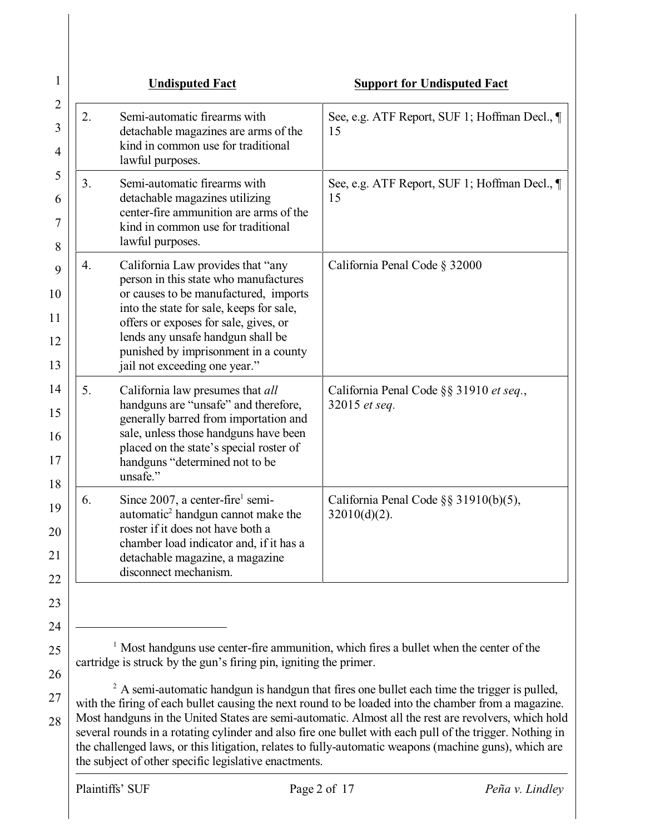|    | <b>Undisputed Fact</b>                                                                                                                                                                                                                                                                                                 | <b>Support for Undisputed Fact</b>                                                                  |
|----|------------------------------------------------------------------------------------------------------------------------------------------------------------------------------------------------------------------------------------------------------------------------------------------------------------------------|-----------------------------------------------------------------------------------------------------|
| 2. | Semi-automatic firearms with<br>detachable magazines are arms of the<br>kind in common use for traditional<br>lawful purposes.                                                                                                                                                                                         | See, e.g. ATF Report, SUF 1; Hoffman Decl., ¶<br>15                                                 |
| 3. | Semi-automatic firearms with<br>detachable magazines utilizing<br>center-fire ammunition are arms of the<br>kind in common use for traditional<br>lawful purposes.                                                                                                                                                     | See, e.g. ATF Report, SUF 1; Hoffman Decl., ¶<br>15                                                 |
| 4. | California Law provides that "any<br>person in this state who manufactures<br>or causes to be manufactured, imports<br>into the state for sale, keeps for sale,<br>offers or exposes for sale, gives, or<br>lends any unsafe handgun shall be<br>punished by imprisonment in a county<br>jail not exceeding one year." | California Penal Code § 32000                                                                       |
| 5. | California law presumes that all<br>handguns are "unsafe" and therefore,<br>generally barred from importation and<br>sale, unless those handguns have been<br>placed on the state's special roster of<br>handguns "determined not to be<br>unsafe."                                                                    | California Penal Code §§ 31910 et seq.,<br>32015 et seq.                                            |
| 6. | Since 2007, a center-fire <sup>1</sup> semi-<br>automatic <sup>2</sup> handgun cannot make the<br>roster if it does not have both a<br>chamber load indicator and, if it has a<br>detachable magazine, a magazine<br>disconnect mechanism.                                                                             | California Penal Code $\S$ § 31910(b)(5),<br>$32010(d)(2)$ .                                        |
|    | cartridge is struck by the gun's firing pin, igniting the primer.                                                                                                                                                                                                                                                      | $\frac{1}{1}$ Most handguns use center-fire ammunition, which fires a bullet when the center of the |
|    |                                                                                                                                                                                                                                                                                                                        | $2$ A semi-automatic handgun is handgun that fires one bullet each time the trigger is pulled,      |

28 with the firing of each bullet causing the next round to be loaded into the chamber from a magazine. Most handguns in the United States are semi-automatic. Almost all the rest are revolvers, which hold several rounds in a rotating cylinder and also fire one bullet with each pull of the trigger. Nothing in the challenged laws, or this litigation, relates to fully-automatic weapons (machine guns), which are the subject of other specific legislative enactments.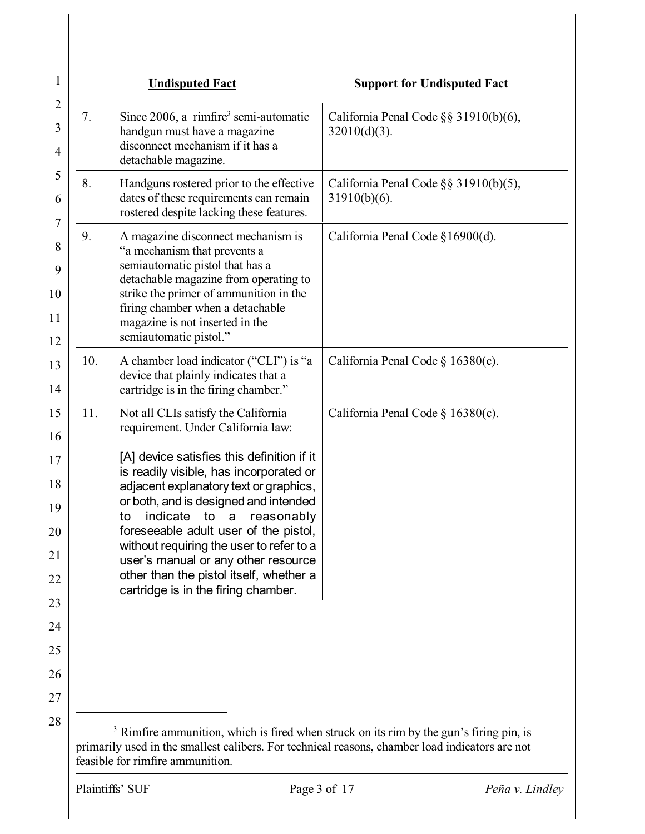| Since $2006$ , a rimfire <sup>3</sup> semi-automatic<br>7.<br>handgun must have a magazine<br>disconnect mechanism if it has a<br>detachable magazine.                                                                                                                                                                                                                                                                                                                                                             | California Penal Code $\S$ § 31910(b)(6),<br>$32010(d)(3)$ .                                       |
|--------------------------------------------------------------------------------------------------------------------------------------------------------------------------------------------------------------------------------------------------------------------------------------------------------------------------------------------------------------------------------------------------------------------------------------------------------------------------------------------------------------------|----------------------------------------------------------------------------------------------------|
| 8.<br>Handguns rostered prior to the effective<br>dates of these requirements can remain<br>rostered despite lacking these features.                                                                                                                                                                                                                                                                                                                                                                               | California Penal Code §§ 31910(b)(5),<br>$31910(b)(6)$ .                                           |
| A magazine disconnect mechanism is<br>9.<br>"a mechanism that prevents a<br>semiautomatic pistol that has a<br>detachable magazine from operating to<br>strike the primer of ammunition in the<br>firing chamber when a detachable<br>magazine is not inserted in the<br>semiautomatic pistol."                                                                                                                                                                                                                    | California Penal Code §16900(d).                                                                   |
| 10.<br>A chamber load indicator ("CLI") is "a<br>device that plainly indicates that a<br>cartridge is in the firing chamber."                                                                                                                                                                                                                                                                                                                                                                                      | California Penal Code $\S 16380(c)$ .                                                              |
| Not all CLIs satisfy the California<br>11.<br>requirement. Under California law:<br>[A] device satisfies this definition if it<br>is readily visible, has incorporated or<br>adjacent explanatory text or graphics,<br>or both, and is designed and intended<br>indicate<br>to a<br>reasonably<br>to<br>foreseeable adult user of the pistol,<br>without requiring the user to refer to a<br>user's manual or any other resource<br>other than the pistol itself, whether a<br>cartridge is in the firing chamber. | California Penal Code § 16380(c).                                                                  |
| primarily used in the smallest calibers. For technical reasons, chamber load indicators are not                                                                                                                                                                                                                                                                                                                                                                                                                    | <sup>3</sup> Rimfire ammunition, which is fired when struck on its rim by the gun's firing pin, is |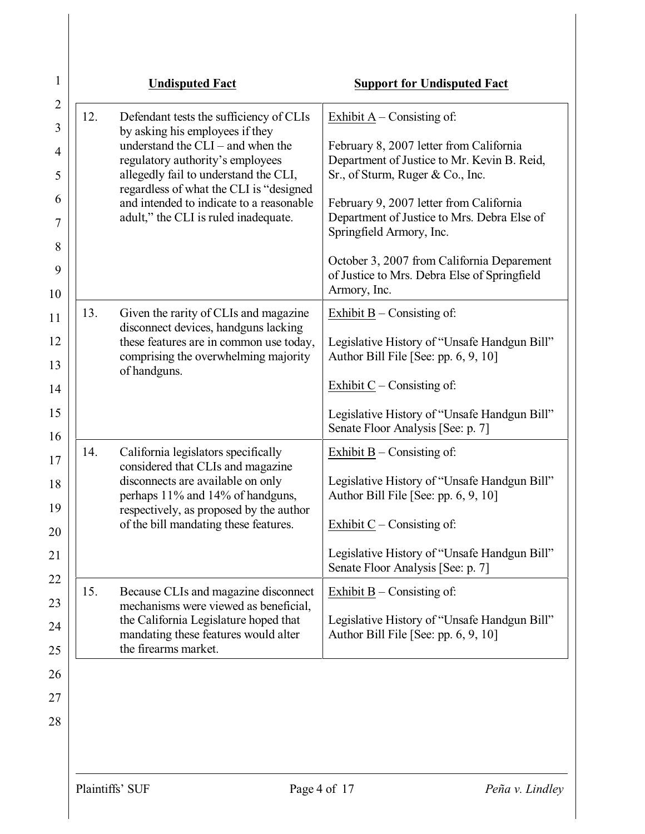| 12.<br>Defendant tests the sufficiency of CLIs<br>by asking his employees if they<br>understand the $CLI$ – and when the<br>regulatory authority's employees<br>allegedly fail to understand the CLI,<br>regardless of what the CLI is "designed"<br>and intended to indicate to a reasonable<br>adult," the CLI is ruled inadequate.<br>13.<br>Given the rarity of CLIs and magazine<br>disconnect devices, handguns lacking<br>these features are in common use today,<br>comprising the overwhelming majority<br>of handguns. | Exhibit $A -$ Consisting of:<br>February 8, 2007 letter from California<br>Department of Justice to Mr. Kevin B. Reid,<br>Sr., of Sturm, Ruger & Co., Inc.<br>February 9, 2007 letter from California<br>Department of Justice to Mrs. Debra Else of<br>Springfield Armory, Inc.<br>October 3, 2007 from California Deparement<br>of Justice to Mrs. Debra Else of Springfield<br>Armory, Inc.<br>Exhibit $B -$ Consisting of:<br>Legislative History of "Unsafe Handgun Bill" |
|----------------------------------------------------------------------------------------------------------------------------------------------------------------------------------------------------------------------------------------------------------------------------------------------------------------------------------------------------------------------------------------------------------------------------------------------------------------------------------------------------------------------------------|--------------------------------------------------------------------------------------------------------------------------------------------------------------------------------------------------------------------------------------------------------------------------------------------------------------------------------------------------------------------------------------------------------------------------------------------------------------------------------|
|                                                                                                                                                                                                                                                                                                                                                                                                                                                                                                                                  |                                                                                                                                                                                                                                                                                                                                                                                                                                                                                |
|                                                                                                                                                                                                                                                                                                                                                                                                                                                                                                                                  |                                                                                                                                                                                                                                                                                                                                                                                                                                                                                |
|                                                                                                                                                                                                                                                                                                                                                                                                                                                                                                                                  |                                                                                                                                                                                                                                                                                                                                                                                                                                                                                |
|                                                                                                                                                                                                                                                                                                                                                                                                                                                                                                                                  |                                                                                                                                                                                                                                                                                                                                                                                                                                                                                |
|                                                                                                                                                                                                                                                                                                                                                                                                                                                                                                                                  |                                                                                                                                                                                                                                                                                                                                                                                                                                                                                |
|                                                                                                                                                                                                                                                                                                                                                                                                                                                                                                                                  |                                                                                                                                                                                                                                                                                                                                                                                                                                                                                |
|                                                                                                                                                                                                                                                                                                                                                                                                                                                                                                                                  |                                                                                                                                                                                                                                                                                                                                                                                                                                                                                |
|                                                                                                                                                                                                                                                                                                                                                                                                                                                                                                                                  |                                                                                                                                                                                                                                                                                                                                                                                                                                                                                |
|                                                                                                                                                                                                                                                                                                                                                                                                                                                                                                                                  | Author Bill File [See: pp. 6, 9, 10]                                                                                                                                                                                                                                                                                                                                                                                                                                           |
|                                                                                                                                                                                                                                                                                                                                                                                                                                                                                                                                  | Exhibit $C$ – Consisting of:                                                                                                                                                                                                                                                                                                                                                                                                                                                   |
|                                                                                                                                                                                                                                                                                                                                                                                                                                                                                                                                  | Legislative History of "Unsafe Handgun Bill"<br>Senate Floor Analysis [See: p. 7]                                                                                                                                                                                                                                                                                                                                                                                              |
| 14.<br>California legislators specifically                                                                                                                                                                                                                                                                                                                                                                                                                                                                                       | Exhibit $B$ – Consisting of:                                                                                                                                                                                                                                                                                                                                                                                                                                                   |
| considered that CLIs and magazine<br>disconnects are available on only<br>perhaps 11% and 14% of handguns,                                                                                                                                                                                                                                                                                                                                                                                                                       | Legislative History of "Unsafe Handgun Bill"<br>Author Bill File [See: pp. 6, 9, 10]                                                                                                                                                                                                                                                                                                                                                                                           |
| respectively, as proposed by the author<br>of the bill mandating these features.                                                                                                                                                                                                                                                                                                                                                                                                                                                 | Exhibit $C$ – Consisting of:                                                                                                                                                                                                                                                                                                                                                                                                                                                   |
|                                                                                                                                                                                                                                                                                                                                                                                                                                                                                                                                  | Legislative History of "Unsafe Handgun Bill"<br>Senate Floor Analysis [See: p. 7]                                                                                                                                                                                                                                                                                                                                                                                              |
| Because CLIs and magazine disconnect<br>15.<br>mechanisms were viewed as beneficial,                                                                                                                                                                                                                                                                                                                                                                                                                                             | Exhibit $B -$ Consisting of:                                                                                                                                                                                                                                                                                                                                                                                                                                                   |
| the California Legislature hoped that<br>mandating these features would alter<br>the firearms market.                                                                                                                                                                                                                                                                                                                                                                                                                            | Legislative History of "Unsafe Handgun Bill"<br>Author Bill File [See: pp. 6, 9, 10]                                                                                                                                                                                                                                                                                                                                                                                           |
|                                                                                                                                                                                                                                                                                                                                                                                                                                                                                                                                  |                                                                                                                                                                                                                                                                                                                                                                                                                                                                                |
|                                                                                                                                                                                                                                                                                                                                                                                                                                                                                                                                  |                                                                                                                                                                                                                                                                                                                                                                                                                                                                                |
|                                                                                                                                                                                                                                                                                                                                                                                                                                                                                                                                  |                                                                                                                                                                                                                                                                                                                                                                                                                                                                                |
|                                                                                                                                                                                                                                                                                                                                                                                                                                                                                                                                  |                                                                                                                                                                                                                                                                                                                                                                                                                                                                                |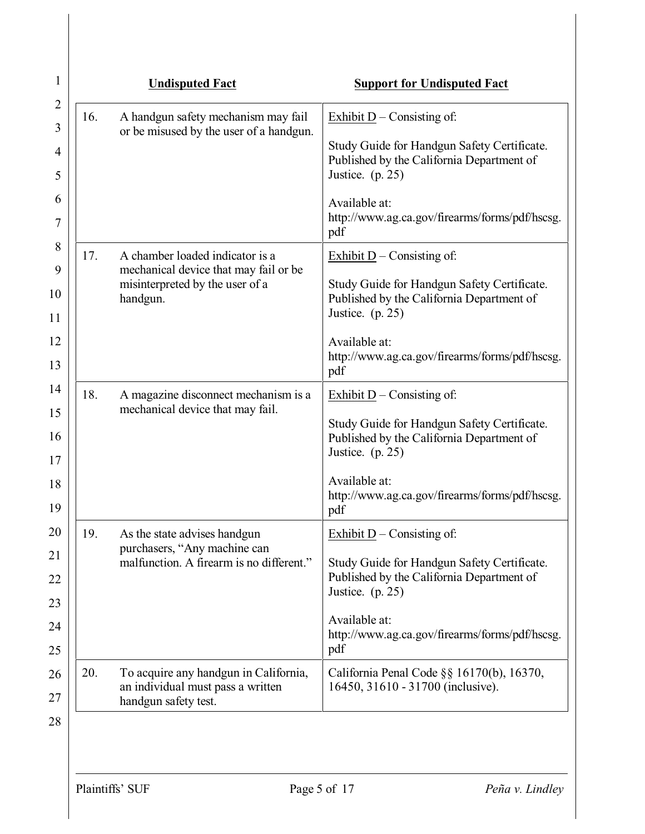| 1                   |     | <b>Undisputed Fact</b>                                                               | <b>Support for Undisputed Fact</b>                                                                             |
|---------------------|-----|--------------------------------------------------------------------------------------|----------------------------------------------------------------------------------------------------------------|
| $\overline{2}$<br>3 | 16. | A handgun safety mechanism may fail                                                  | Exhibit $D$ – Consisting of:                                                                                   |
| 4<br>5              |     | or be misused by the user of a handgun.                                              | Study Guide for Handgun Safety Certificate.<br>Published by the California Department of<br>Justice. $(p. 25)$ |
| 6<br>7              |     |                                                                                      | Available at:<br>http://www.ag.ca.gov/firearms/forms/pdf/hscsg.<br>pdf                                         |
| 8                   | 17. | A chamber loaded indicator is a                                                      | Exhibit $D$ – Consisting of:                                                                                   |
| 9<br>10<br>11       |     | mechanical device that may fail or be<br>misinterpreted by the user of a<br>handgun. | Study Guide for Handgun Safety Certificate.<br>Published by the California Department of<br>Justice. $(p. 25)$ |
| 12<br>13            |     |                                                                                      | Available at:<br>http://www.ag.ca.gov/firearms/forms/pdf/hscsg.<br>pdf                                         |
| 14                  | 18. | A magazine disconnect mechanism is a<br>mechanical device that may fail.             | Exhibit $D$ – Consisting of:                                                                                   |
| 15<br>16<br>17      |     |                                                                                      | Study Guide for Handgun Safety Certificate.<br>Published by the California Department of<br>Justice. $(p. 25)$ |
| 18<br>19            |     |                                                                                      | Available at:<br>http://www.ag.ca.gov/firearms/forms/pdf/hscsg.<br>pdf                                         |
| 20                  | 19. | As the state advises handgun                                                         | Exhibit $\underline{D}$ – Consisting of:                                                                       |
| 21                  |     | purchasers, "Any machine can<br>malfunction. A firearm is no different."             | Study Guide for Handgun Safety Certificate.                                                                    |
| 22                  |     |                                                                                      | Published by the California Department of<br>Justice. $(p. 25)$                                                |
| 23<br>24            |     |                                                                                      | Available at:                                                                                                  |
| 25                  |     |                                                                                      | http://www.ag.ca.gov/firearms/forms/pdf/hscsg.<br>pdf                                                          |
| 26                  | 20. | To acquire any handgun in California,                                                | California Penal Code $\S$ § 16170(b), 16370,                                                                  |
| 27                  |     | an individual must pass a written<br>handgun safety test.                            | 16450, 31610 - 31700 (inclusive).                                                                              |
| 28                  |     |                                                                                      |                                                                                                                |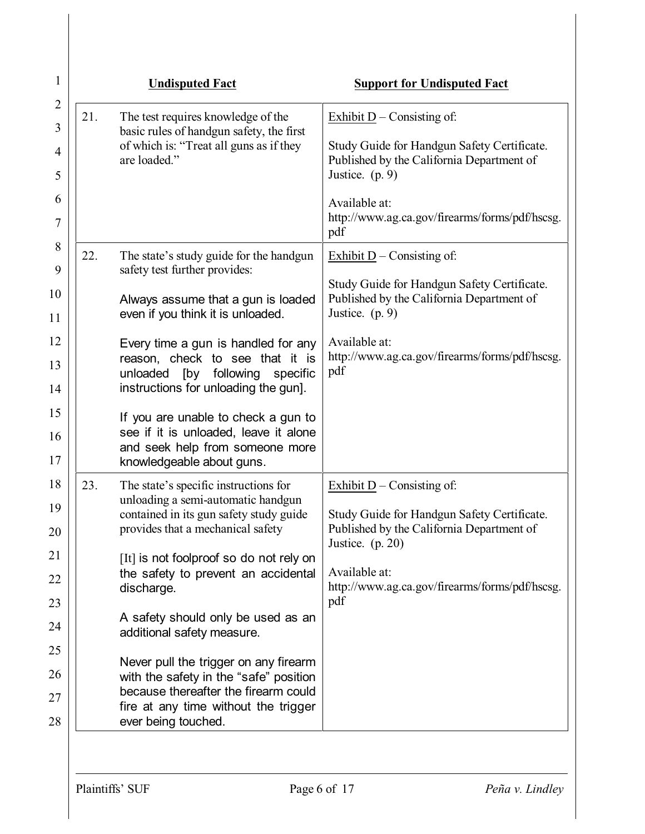| $\mathbf{1}$        |     | <b>Undisputed Fact</b>                                                                              | <b>Support for Undisputed Fact</b>                                                       |
|---------------------|-----|-----------------------------------------------------------------------------------------------------|------------------------------------------------------------------------------------------|
| $\overline{2}$<br>3 | 21. | The test requires knowledge of the                                                                  | Exhibit $D$ – Consisting of:                                                             |
| 4                   |     | basic rules of handgun safety, the first<br>of which is: "Treat all guns as if they<br>are loaded." | Study Guide for Handgun Safety Certificate.<br>Published by the California Department of |
| 5                   |     |                                                                                                     | Justice. $(p. 9)$                                                                        |
| 6<br>7              |     |                                                                                                     | Available at:<br>http://www.ag.ca.gov/firearms/forms/pdf/hscsg.<br>pdf                   |
| 8                   | 22. | The state's study guide for the handgun                                                             | Exhibit $D$ – Consisting of:                                                             |
| 9                   |     | safety test further provides:                                                                       | Study Guide for Handgun Safety Certificate.                                              |
| 10<br>11            |     | Always assume that a gun is loaded<br>even if you think it is unloaded.                             | Published by the California Department of<br>Justice. $(p. 9)$                           |
| 12                  |     |                                                                                                     | Available at:                                                                            |
| 13                  |     | Every time a gun is handled for any<br>reason, check to see that it is                              | http://www.ag.ca.gov/firearms/forms/pdf/hscsg.                                           |
| 14                  |     | [by<br>following<br>unloaded<br>specific<br>instructions for unloading the gun].                    | pdf                                                                                      |
| 15                  |     | If you are unable to check a gun to                                                                 |                                                                                          |
| 16                  |     | see if it is unloaded, leave it alone<br>and seek help from someone more                            |                                                                                          |
| 17                  |     | knowledgeable about guns.                                                                           |                                                                                          |
| 18                  | 23. | The state's specific instructions for<br>unloading a semi-automatic handgun                         | Exhibit $D$ – Consisting of:                                                             |
| 19                  |     | contained in its gun safety study guide                                                             | Study Guide for Handgun Safety Certificate.                                              |
| 20                  |     | provides that a mechanical safety                                                                   | Published by the California Department of<br>Justice. $(p. 20)$                          |
| 21<br>22            |     | [It] is not foolproof so do not rely on<br>the safety to prevent an accidental                      | Available at:                                                                            |
| 23                  |     | discharge.                                                                                          | http://www.ag.ca.gov/firearms/forms/pdf/hscsg.<br>pdf                                    |
| 24                  |     | A safety should only be used as an<br>additional safety measure.                                    |                                                                                          |
| 25                  |     |                                                                                                     |                                                                                          |
| 26                  |     | Never pull the trigger on any firearm<br>with the safety in the "safe" position                     |                                                                                          |
| 27                  |     | because thereafter the firearm could<br>fire at any time without the trigger                        |                                                                                          |
| 28                  |     | ever being touched.                                                                                 |                                                                                          |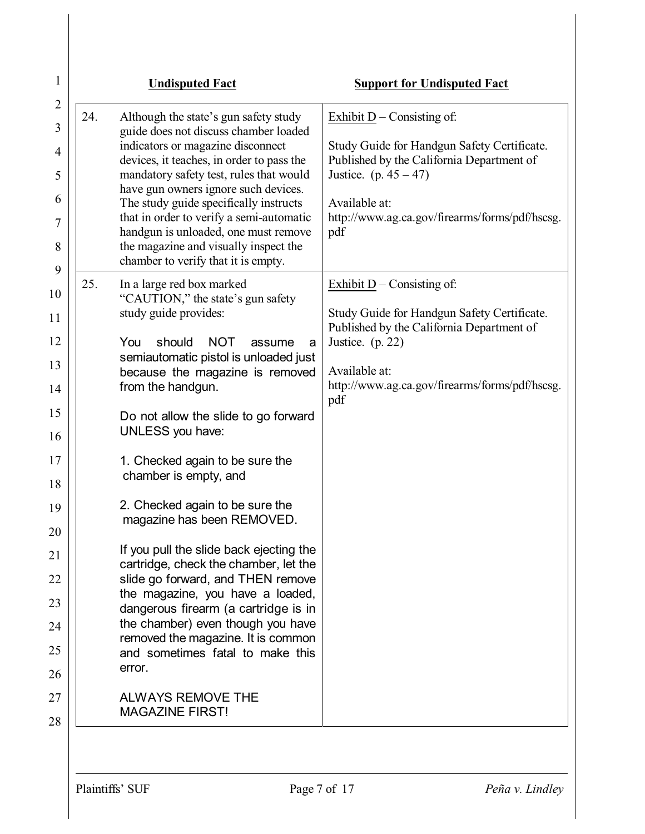| 1              | <b>Undisputed Fact</b>                                                             | <b>Support for Undisputed Fact</b>                                             |
|----------------|------------------------------------------------------------------------------------|--------------------------------------------------------------------------------|
| $\overline{2}$ | 24.<br>Although the state's gun safety study                                       | Exhibit $D$ – Consisting of:                                                   |
| 3              | guide does not discuss chamber loaded<br>indicators or magazine disconnect         | Study Guide for Handgun Safety Certificate.                                    |
| 4              | devices, it teaches, in order to pass the                                          | Published by the California Department of                                      |
| 5              | mandatory safety test, rules that would<br>have gun owners ignore such devices.    | Justice. (p. $45 - 47$ )                                                       |
| 6              | The study guide specifically instructs<br>that in order to verify a semi-automatic | Available at:<br>http://www.ag.ca.gov/firearms/forms/pdf/hscsg.                |
| 7              | handgun is unloaded, one must remove                                               | pdf                                                                            |
| 8<br>9         | the magazine and visually inspect the<br>chamber to verify that it is empty.       |                                                                                |
| 10             | 25.<br>In a large red box marked                                                   | Exhibit $D$ – Consisting of:                                                   |
| 11             | "CAUTION," the state's gun safety<br>study guide provides:                         | Study Guide for Handgun Safety Certificate.                                    |
| 12             | <b>NOT</b><br>should<br>You                                                        | Published by the California Department of<br>Justice. $(p. 22)$<br>assume<br>a |
| 13             | semiautomatic pistol is unloaded just                                              | Available at:                                                                  |
| 14             | because the magazine is removed<br>from the handgun.                               | http://www.ag.ca.gov/firearms/forms/pdf/hscsg.                                 |
| 15             | Do not allow the slide to go forward                                               | pdf                                                                            |
| 16             | <b>UNLESS</b> you have:                                                            |                                                                                |
| 17             | 1. Checked again to be sure the                                                    |                                                                                |
| 18             | chamber is empty, and                                                              |                                                                                |
| 19             | 2. Checked again to be sure the<br>magazine has been REMOVED.                      |                                                                                |
| 20             |                                                                                    |                                                                                |
| 21             | If you pull the slide back ejecting the<br>cartridge, check the chamber, let the   |                                                                                |
| 22             | slide go forward, and THEN remove<br>the magazine, you have a loaded,              |                                                                                |
| 23             | dangerous firearm (a cartridge is in                                               |                                                                                |
| 24             | the chamber) even though you have<br>removed the magazine. It is common            |                                                                                |
| 25             | and sometimes fatal to make this                                                   |                                                                                |
| 26             | error.                                                                             |                                                                                |
| 27             | <b>ALWAYS REMOVE THE</b><br><b>MAGAZINE FIRST!</b>                                 |                                                                                |
| 28             |                                                                                    |                                                                                |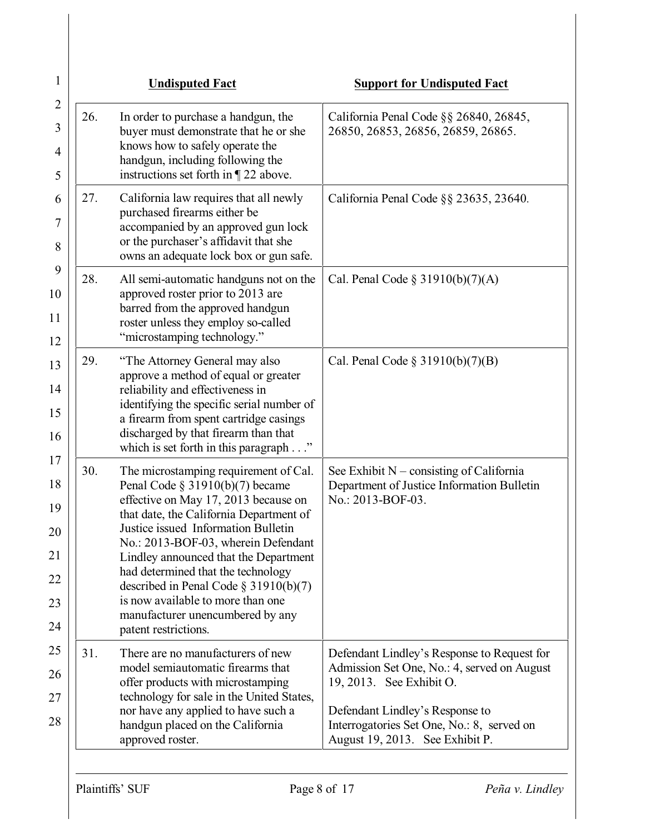|     | <b>Undisputed Fact</b>                                                                                                                                                                                                                                                                                                                                                                                                                                                   | <b>Support for Undisputed Fact</b>                                                                                                                                                                                                         |
|-----|--------------------------------------------------------------------------------------------------------------------------------------------------------------------------------------------------------------------------------------------------------------------------------------------------------------------------------------------------------------------------------------------------------------------------------------------------------------------------|--------------------------------------------------------------------------------------------------------------------------------------------------------------------------------------------------------------------------------------------|
| 26. | In order to purchase a handgun, the<br>buyer must demonstrate that he or she<br>knows how to safely operate the<br>handgun, including following the<br>instructions set forth in $\P$ 22 above.                                                                                                                                                                                                                                                                          | California Penal Code §§ 26840, 26845,<br>26850, 26853, 26856, 26859, 26865.                                                                                                                                                               |
| 27. | California law requires that all newly<br>purchased firearms either be<br>accompanied by an approved gun lock<br>or the purchaser's affidavit that she<br>owns an adequate lock box or gun safe.                                                                                                                                                                                                                                                                         | California Penal Code §§ 23635, 23640.                                                                                                                                                                                                     |
| 28. | All semi-automatic handguns not on the<br>approved roster prior to 2013 are<br>barred from the approved handgun<br>roster unless they employ so-called<br>"microstamping technology."                                                                                                                                                                                                                                                                                    | Cal. Penal Code $\S$ 31910(b)(7)(A)                                                                                                                                                                                                        |
| 29. | "The Attorney General may also<br>approve a method of equal or greater<br>reliability and effectiveness in<br>identifying the specific serial number of<br>a firearm from spent cartridge casings<br>discharged by that firearm than that<br>which is set forth in this paragraph $\ldots$ "                                                                                                                                                                             | Cal. Penal Code $\S 31910(b)(7)(B)$                                                                                                                                                                                                        |
| 30. | The microstamping requirement of Cal.<br>Penal Code $\S$ 31910(b)(7) became<br>effective on May 17, 2013 because on<br>that date, the California Department of<br>Justice issued Information Bulletin<br>No.: 2013-BOF-03, wherein Defendant<br>Lindley announced that the Department<br>had determined that the technology<br>described in Penal Code $\S 31910(b)(7)$<br>is now available to more than one<br>manufacturer unencumbered by any<br>patent restrictions. | See Exhibit $N$ – consisting of California<br>Department of Justice Information Bulletin<br>No.: 2013-BOF-03.                                                                                                                              |
| 31. | There are no manufacturers of new<br>model semiautomatic firearms that<br>offer products with microstamping<br>technology for sale in the United States,<br>nor have any applied to have such a<br>handgun placed on the California<br>approved roster.                                                                                                                                                                                                                  | Defendant Lindley's Response to Request for<br>Admission Set One, No.: 4, served on August<br>19, 2013. See Exhibit O.<br>Defendant Lindley's Response to<br>Interrogatories Set One, No.: 8, served on<br>August 19, 2013. See Exhibit P. |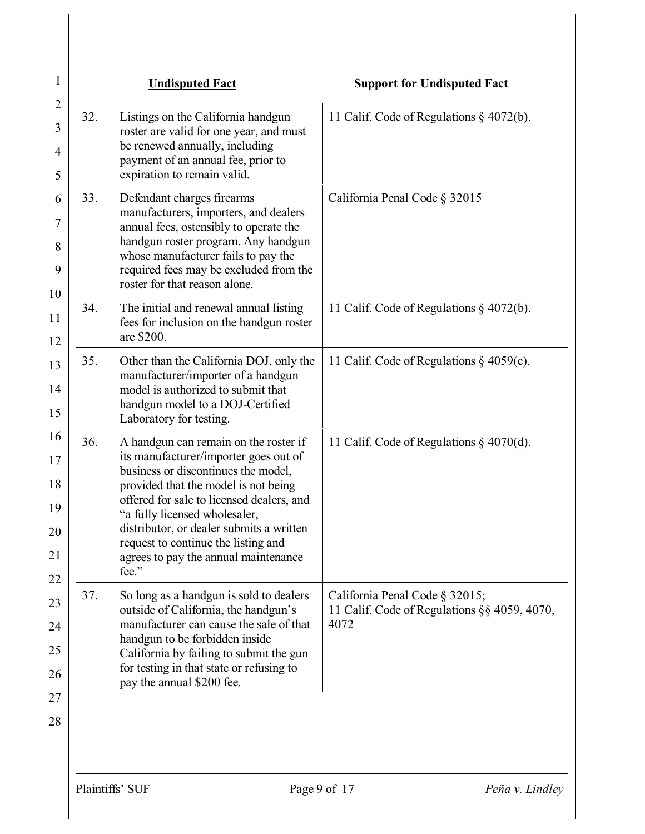|     | <b>Undisputed Fact</b>                                                                                                                                                                                                                                                                                                                                                          | <b>Support for Undisputed Fact</b>                                                     |
|-----|---------------------------------------------------------------------------------------------------------------------------------------------------------------------------------------------------------------------------------------------------------------------------------------------------------------------------------------------------------------------------------|----------------------------------------------------------------------------------------|
| 32. | Listings on the California handgun<br>roster are valid for one year, and must<br>be renewed annually, including<br>payment of an annual fee, prior to<br>expiration to remain valid.                                                                                                                                                                                            | 11 Calif. Code of Regulations § 4072(b).                                               |
| 33. | Defendant charges firearms<br>manufacturers, importers, and dealers<br>annual fees, ostensibly to operate the<br>handgun roster program. Any handgun<br>whose manufacturer fails to pay the<br>required fees may be excluded from the<br>roster for that reason alone.                                                                                                          | California Penal Code § 32015                                                          |
| 34. | The initial and renewal annual listing<br>fees for inclusion on the handgun roster<br>are \$200.                                                                                                                                                                                                                                                                                | 11 Calif. Code of Regulations § 4072(b).                                               |
| 35. | Other than the California DOJ, only the<br>manufacturer/importer of a handgun<br>model is authorized to submit that<br>handgun model to a DOJ-Certified<br>Laboratory for testing.                                                                                                                                                                                              | 11 Calif. Code of Regulations $\S$ 4059(c).                                            |
| 36. | A handgun can remain on the roster if<br>its manufacturer/importer goes out of<br>business or discontinues the model,<br>provided that the model is not being<br>offered for sale to licensed dealers, and<br>"a fully licensed wholesaler,<br>distributor, or dealer submits a written<br>request to continue the listing and<br>agrees to pay the annual maintenance<br>fee." | 11 Calif. Code of Regulations $\S$ 4070(d).                                            |
| 37. | So long as a handgun is sold to dealers<br>outside of California, the handgun's<br>manufacturer can cause the sale of that<br>handgun to be forbidden inside<br>California by failing to submit the gun<br>for testing in that state or refusing to<br>pay the annual \$200 fee.                                                                                                | California Penal Code § 32015;<br>11 Calif. Code of Regulations §§ 4059, 4070,<br>4072 |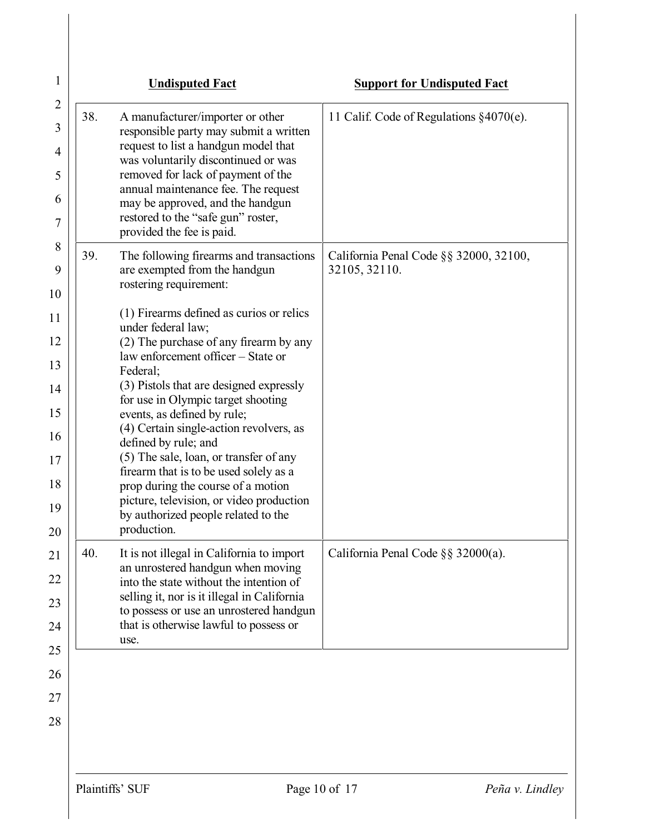|     | <b>Undisputed Fact</b>                                                                                                                                                                                                                                                                                                                                                                                                                                                                                                                                                                                                                                                          | <b>Support for Undisputed Fact</b>                      |
|-----|---------------------------------------------------------------------------------------------------------------------------------------------------------------------------------------------------------------------------------------------------------------------------------------------------------------------------------------------------------------------------------------------------------------------------------------------------------------------------------------------------------------------------------------------------------------------------------------------------------------------------------------------------------------------------------|---------------------------------------------------------|
| 38. | A manufacturer/importer or other<br>responsible party may submit a written<br>request to list a handgun model that<br>was voluntarily discontinued or was<br>removed for lack of payment of the<br>annual maintenance fee. The request<br>may be approved, and the handgun<br>restored to the "safe gun" roster,<br>provided the fee is paid.                                                                                                                                                                                                                                                                                                                                   | 11 Calif. Code of Regulations $§4070(e)$ .              |
| 39. | The following firearms and transactions<br>are exempted from the handgun<br>rostering requirement:<br>(1) Firearms defined as curios or relics<br>under federal law;<br>(2) The purchase of any firearm by any<br>law enforcement officer – State or<br>Federal;<br>(3) Pistols that are designed expressly<br>for use in Olympic target shooting<br>events, as defined by rule;<br>(4) Certain single-action revolvers, as<br>defined by rule; and<br>(5) The sale, loan, or transfer of any<br>firearm that is to be used solely as a<br>prop during the course of a motion<br>picture, television, or video production<br>by authorized people related to the<br>production. | California Penal Code §§ 32000, 32100,<br>32105, 32110. |
| 40. | It is not illegal in California to import<br>an unrostered handgun when moving<br>into the state without the intention of<br>selling it, nor is it illegal in California<br>to possess or use an unrostered handgun<br>that is otherwise lawful to possess or<br>use.                                                                                                                                                                                                                                                                                                                                                                                                           | California Penal Code $\S$ § 32000(a).                  |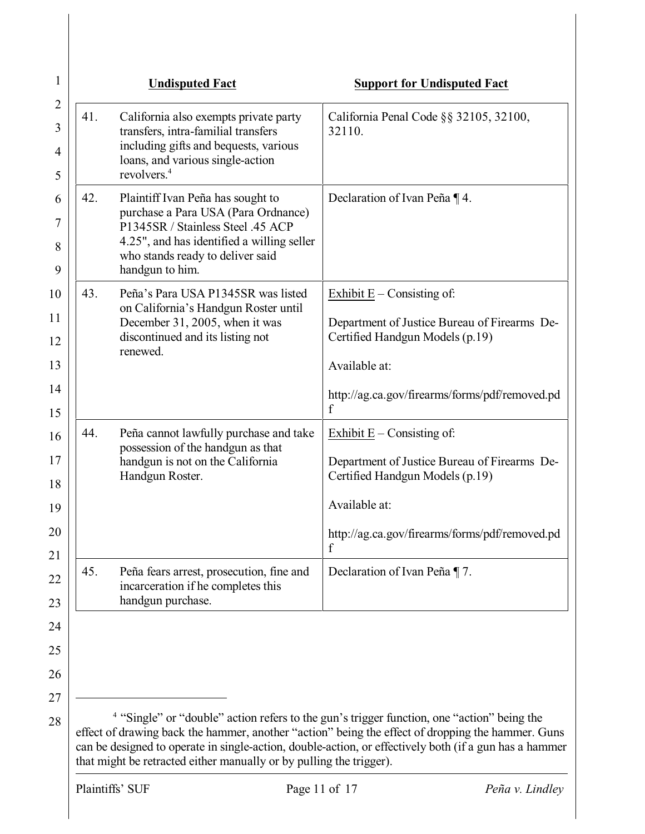| 1                             |     | <b>Undisputed Fact</b>                                                                                                                                                                                             | <b>Support for Undisputed Fact</b>                                                                                                                                                                                                                                                                                   |
|-------------------------------|-----|--------------------------------------------------------------------------------------------------------------------------------------------------------------------------------------------------------------------|----------------------------------------------------------------------------------------------------------------------------------------------------------------------------------------------------------------------------------------------------------------------------------------------------------------------|
| $\overline{2}$<br>3<br>4<br>5 | 41. | California also exempts private party<br>transfers, intra-familial transfers<br>including gifts and bequests, various<br>loans, and various single-action<br>revolvers. <sup>4</sup>                               | California Penal Code §§ 32105, 32100,<br>32110.                                                                                                                                                                                                                                                                     |
| 6<br>7<br>8<br>9              | 42. | Plaintiff Ivan Peña has sought to<br>purchase a Para USA (Para Ordnance)<br>P1345SR / Stainless Steel .45 ACP<br>4.25", and has identified a willing seller<br>who stands ready to deliver said<br>handgun to him. | Declaration of Ivan Peña ¶ 4.                                                                                                                                                                                                                                                                                        |
| 10                            | 43. | Peña's Para USA P1345SR was listed                                                                                                                                                                                 | Exhibit $E -$ Consisting of:                                                                                                                                                                                                                                                                                         |
| 11                            |     | on California's Handgun Roster until<br>December 31, 2005, when it was                                                                                                                                             | Department of Justice Bureau of Firearms De-                                                                                                                                                                                                                                                                         |
| 12                            |     | discontinued and its listing not<br>renewed.                                                                                                                                                                       | Certified Handgun Models (p.19)                                                                                                                                                                                                                                                                                      |
| 13                            |     |                                                                                                                                                                                                                    | Available at:                                                                                                                                                                                                                                                                                                        |
| 14<br>15                      |     |                                                                                                                                                                                                                    | http://ag.ca.gov/firearms/forms/pdf/removed.pd<br>f                                                                                                                                                                                                                                                                  |
| 16                            | 44. | Peña cannot lawfully purchase and take                                                                                                                                                                             | Exhibit $E -$ Consisting of:                                                                                                                                                                                                                                                                                         |
| 17<br>18                      |     | possession of the handgun as that<br>handgun is not on the California<br>Handgun Roster.                                                                                                                           | Department of Justice Bureau of Firearms De-<br>Certified Handgun Models (p.19)                                                                                                                                                                                                                                      |
| 19                            |     |                                                                                                                                                                                                                    | Available at:                                                                                                                                                                                                                                                                                                        |
| 20                            |     |                                                                                                                                                                                                                    | http://ag.ca.gov/firearms/forms/pdf/removed.pd<br>f                                                                                                                                                                                                                                                                  |
| 21<br>22<br>23                | 45. | Peña fears arrest, prosecution, fine and<br>incarceration if he completes this<br>handgun purchase.                                                                                                                | Declaration of Ivan Peña ¶ 7.                                                                                                                                                                                                                                                                                        |
| 24                            |     |                                                                                                                                                                                                                    |                                                                                                                                                                                                                                                                                                                      |
| 25                            |     |                                                                                                                                                                                                                    |                                                                                                                                                                                                                                                                                                                      |
| 26                            |     |                                                                                                                                                                                                                    |                                                                                                                                                                                                                                                                                                                      |
| 27                            |     |                                                                                                                                                                                                                    |                                                                                                                                                                                                                                                                                                                      |
| 28                            |     | that might be retracted either manually or by pulling the trigger).                                                                                                                                                | <sup>4</sup> "Single" or "double" action refers to the gun's trigger function, one "action" being the<br>effect of drawing back the hammer, another "action" being the effect of dropping the hammer. Guns<br>can be designed to operate in single-action, double-action, or effectively both (if a gun has a hammer |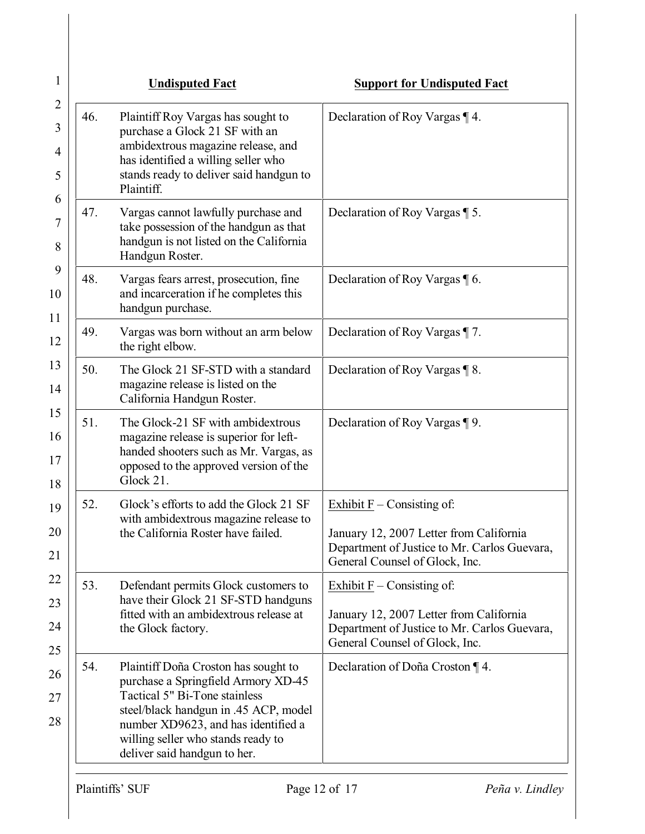| 1                     |     | <b>Undisputed Fact</b>                                                                                                                                                                                                                                             | <b>Support for Undisputed Fact</b>                                                                                                                        |
|-----------------------|-----|--------------------------------------------------------------------------------------------------------------------------------------------------------------------------------------------------------------------------------------------------------------------|-----------------------------------------------------------------------------------------------------------------------------------------------------------|
| 2<br>3<br>4<br>5<br>6 | 46. | Plaintiff Roy Vargas has sought to<br>purchase a Glock 21 SF with an<br>ambidextrous magazine release, and<br>has identified a willing seller who<br>stands ready to deliver said handgun to<br>Plaintiff.                                                         | Declaration of Roy Vargas $\P$ 4.                                                                                                                         |
| 7<br>8                | 47. | Vargas cannot lawfully purchase and<br>take possession of the handgun as that<br>handgun is not listed on the California<br>Handgun Roster.                                                                                                                        | Declaration of Roy Vargas ¶ 5.                                                                                                                            |
| 9<br>10<br>11         | 48. | Vargas fears arrest, prosecution, fine<br>and incarceration if he completes this<br>handgun purchase.                                                                                                                                                              | Declaration of Roy Vargas 16.                                                                                                                             |
| 12                    | 49. | Vargas was born without an arm below<br>the right elbow.                                                                                                                                                                                                           | Declaration of Roy Vargas ¶ 7.                                                                                                                            |
| 13<br>14              | 50. | The Glock 21 SF-STD with a standard<br>magazine release is listed on the<br>California Handgun Roster.                                                                                                                                                             | Declaration of Roy Vargas $\P$ 8.                                                                                                                         |
| 15<br>16<br>17<br>18  | 51. | The Glock-21 SF with ambidextrous<br>magazine release is superior for left-<br>handed shooters such as Mr. Vargas, as<br>opposed to the approved version of the<br>Glock 21.                                                                                       | Declaration of Roy Vargas ¶ 9.                                                                                                                            |
| 19<br>20<br>21        | 52. | Glock's efforts to add the Glock 21 SF<br>with ambidextrous magazine release to<br>the California Roster have failed.                                                                                                                                              | Exhibit $F -$ Consisting of:<br>January 12, 2007 Letter from California<br>Department of Justice to Mr. Carlos Guevara,<br>General Counsel of Glock, Inc. |
| 22<br>23<br>24        | 53. | Defendant permits Glock customers to<br>have their Glock 21 SF-STD handguns<br>fitted with an ambidextrous release at<br>the Glock factory.                                                                                                                        | Exhibit $F -$ Consisting of:<br>January 12, 2007 Letter from California<br>Department of Justice to Mr. Carlos Guevara,<br>General Counsel of Glock, Inc. |
| 25<br>26<br>27<br>28  | 54. | Plaintiff Doña Croston has sought to<br>purchase a Springfield Armory XD-45<br>Tactical 5" Bi-Tone stainless<br>steel/black handgun in .45 ACP, model<br>number XD9623, and has identified a<br>willing seller who stands ready to<br>deliver said handgun to her. | Declaration of Doña Croston ¶ 4.                                                                                                                          |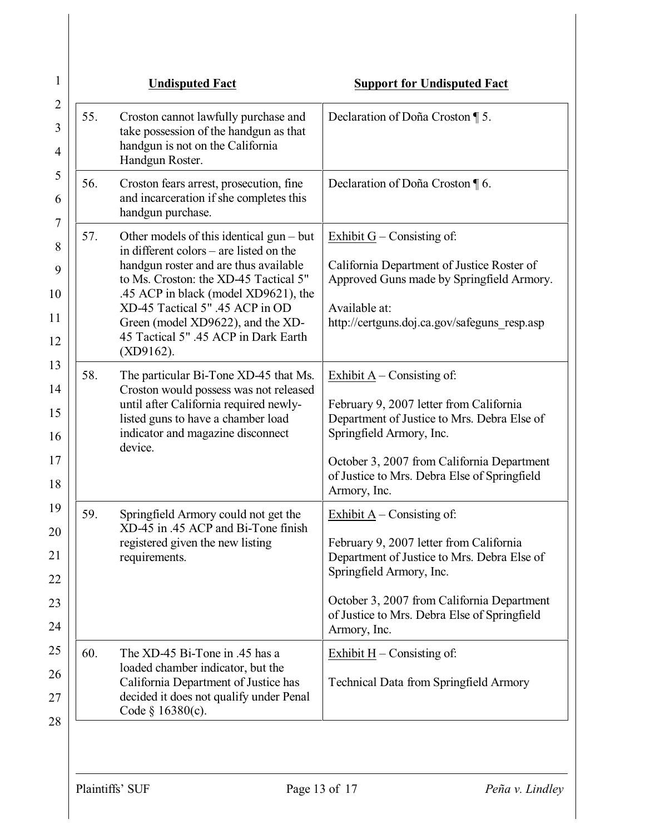| 1                                |     | <b>Undisputed Fact</b>                                                                                                                                                                                                                                                                                                                          | <b>Support for Undisputed Fact</b>                                                                                                                                                                                                                               |
|----------------------------------|-----|-------------------------------------------------------------------------------------------------------------------------------------------------------------------------------------------------------------------------------------------------------------------------------------------------------------------------------------------------|------------------------------------------------------------------------------------------------------------------------------------------------------------------------------------------------------------------------------------------------------------------|
| $\overline{2}$<br>3<br>4         | 55. | Croston cannot lawfully purchase and<br>take possession of the handgun as that<br>handgun is not on the California<br>Handgun Roster.                                                                                                                                                                                                           | Declaration of Doña Croston ¶ 5.                                                                                                                                                                                                                                 |
| 5<br>6<br>7                      | 56. | Croston fears arrest, prosecution, fine<br>and incarceration if she completes this<br>handgun purchase.                                                                                                                                                                                                                                         | Declaration of Doña Croston $\P$ 6.                                                                                                                                                                                                                              |
| 8<br>9<br>10<br>11<br>12         | 57. | Other models of this identical $gun - but$<br>in different colors – are listed on the<br>handgun roster and are thus available<br>to Ms. Croston: the XD-45 Tactical 5"<br>.45 ACP in black (model XD9621), the<br>XD-45 Tactical 5" .45 ACP in OD<br>Green (model XD9622), and the XD-<br>45 Tactical 5" .45 ACP in Dark Earth<br>$(XD9162)$ . | Exhibit $G$ – Consisting of:<br>California Department of Justice Roster of<br>Approved Guns made by Springfield Armory.<br>Available at:<br>http://certguns.doj.ca.gov/safeguns resp.asp                                                                         |
| 13<br>14<br>15<br>16<br>17<br>18 | 58. | The particular Bi-Tone XD-45 that Ms.<br>Croston would possess was not released<br>until after California required newly-<br>listed guns to have a chamber load<br>indicator and magazine disconnect<br>device.                                                                                                                                 | Exhibit $A -$ Consisting of:<br>February 9, 2007 letter from California<br>Department of Justice to Mrs. Debra Else of<br>Springfield Armory, Inc.<br>October 3, 2007 from California Department<br>of Justice to Mrs. Debra Else of Springfield<br>Armory, Inc. |
| 19<br>20<br>21<br>22<br>23<br>24 | 59. | Springfield Armory could not get the<br>XD-45 in .45 ACP and Bi-Tone finish<br>registered given the new listing<br>requirements.                                                                                                                                                                                                                | Exhibit $A -$ Consisting of:<br>February 9, 2007 letter from California<br>Department of Justice to Mrs. Debra Else of<br>Springfield Armory, Inc.<br>October 3, 2007 from California Department<br>of Justice to Mrs. Debra Else of Springfield<br>Armory, Inc. |
| 25<br>26<br>27<br>28             | 60. | The XD-45 Bi-Tone in .45 has a<br>loaded chamber indicator, but the<br>California Department of Justice has<br>decided it does not qualify under Penal<br>Code $§$ 16380(c).                                                                                                                                                                    | Exhibit $H -$ Consisting of:<br><b>Technical Data from Springfield Armory</b>                                                                                                                                                                                    |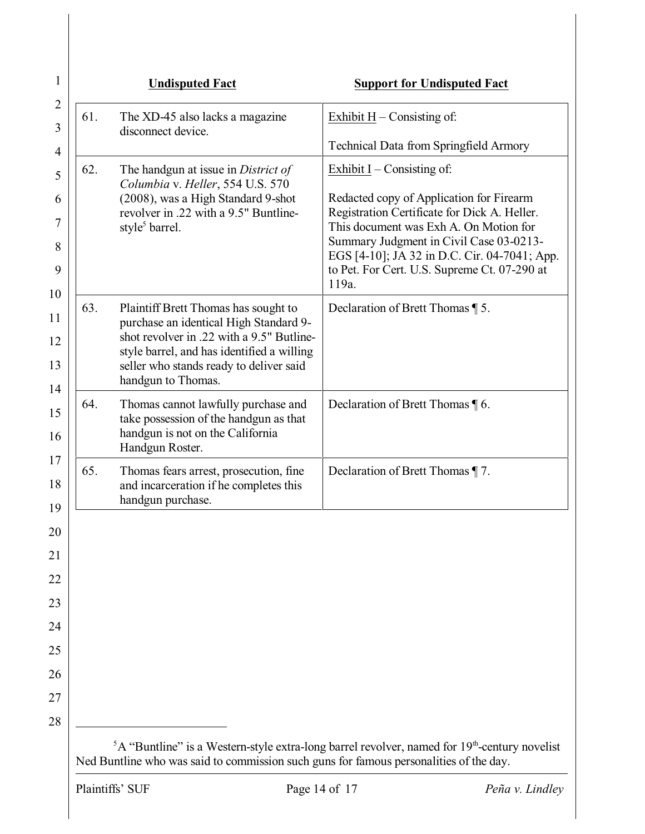| The XD-45 also lacks a magazine<br>Exhibit $H -$ Consisting of:<br>disconnect device.<br><b>Technical Data from Springfield Armory</b><br>The handgun at issue in District of<br>Exhibit $I$ – Consisting of:<br>Columbia v. Heller, 554 U.S. 570<br>(2008), was a High Standard 9-shot<br>Redacted copy of Application for Firearm<br>Registration Certificate for Dick A. Heller.<br>revolver in .22 with a 9.5" Buntline-<br>This document was Exh A. On Motion for<br>style <sup>5</sup> barrel.<br>to Pet. For Cert. U.S. Supreme Ct. 07-290 at<br>119a.<br>63.<br>Plaintiff Brett Thomas has sought to<br>Declaration of Brett Thomas ¶ 5.<br>purchase an identical High Standard 9-<br>shot revolver in .22 with a 9.5" Butline-<br>style barrel, and has identified a willing<br>seller who stands ready to deliver said<br>handgun to Thomas.<br>64.<br>Thomas cannot lawfully purchase and<br>Declaration of Brett Thomas \[ 6.<br>take possession of the handgun as that<br>handgun is not on the California<br>Handgun Roster.<br>65.<br>Thomas fears arrest, prosecution, fine<br>Declaration of Brett Thomas ¶ 7.<br>and incarceration if he completes this<br>handgun purchase. |     | <b>Undisputed Fact</b> | <b>Support for Undisputed Fact</b>                                                      |
|------------------------------------------------------------------------------------------------------------------------------------------------------------------------------------------------------------------------------------------------------------------------------------------------------------------------------------------------------------------------------------------------------------------------------------------------------------------------------------------------------------------------------------------------------------------------------------------------------------------------------------------------------------------------------------------------------------------------------------------------------------------------------------------------------------------------------------------------------------------------------------------------------------------------------------------------------------------------------------------------------------------------------------------------------------------------------------------------------------------------------------------------------------------------------------------------|-----|------------------------|-----------------------------------------------------------------------------------------|
|                                                                                                                                                                                                                                                                                                                                                                                                                                                                                                                                                                                                                                                                                                                                                                                                                                                                                                                                                                                                                                                                                                                                                                                                | 61. |                        |                                                                                         |
|                                                                                                                                                                                                                                                                                                                                                                                                                                                                                                                                                                                                                                                                                                                                                                                                                                                                                                                                                                                                                                                                                                                                                                                                |     |                        |                                                                                         |
|                                                                                                                                                                                                                                                                                                                                                                                                                                                                                                                                                                                                                                                                                                                                                                                                                                                                                                                                                                                                                                                                                                                                                                                                | 62. |                        |                                                                                         |
|                                                                                                                                                                                                                                                                                                                                                                                                                                                                                                                                                                                                                                                                                                                                                                                                                                                                                                                                                                                                                                                                                                                                                                                                |     |                        |                                                                                         |
|                                                                                                                                                                                                                                                                                                                                                                                                                                                                                                                                                                                                                                                                                                                                                                                                                                                                                                                                                                                                                                                                                                                                                                                                |     |                        | Summary Judgment in Civil Case 03-0213-<br>EGS [4-10]; JA 32 in D.C. Cir. 04-7041; App. |
|                                                                                                                                                                                                                                                                                                                                                                                                                                                                                                                                                                                                                                                                                                                                                                                                                                                                                                                                                                                                                                                                                                                                                                                                |     |                        |                                                                                         |
|                                                                                                                                                                                                                                                                                                                                                                                                                                                                                                                                                                                                                                                                                                                                                                                                                                                                                                                                                                                                                                                                                                                                                                                                |     |                        |                                                                                         |
|                                                                                                                                                                                                                                                                                                                                                                                                                                                                                                                                                                                                                                                                                                                                                                                                                                                                                                                                                                                                                                                                                                                                                                                                |     |                        |                                                                                         |
|                                                                                                                                                                                                                                                                                                                                                                                                                                                                                                                                                                                                                                                                                                                                                                                                                                                                                                                                                                                                                                                                                                                                                                                                |     |                        |                                                                                         |
|                                                                                                                                                                                                                                                                                                                                                                                                                                                                                                                                                                                                                                                                                                                                                                                                                                                                                                                                                                                                                                                                                                                                                                                                |     |                        |                                                                                         |
|                                                                                                                                                                                                                                                                                                                                                                                                                                                                                                                                                                                                                                                                                                                                                                                                                                                                                                                                                                                                                                                                                                                                                                                                |     |                        |                                                                                         |
|                                                                                                                                                                                                                                                                                                                                                                                                                                                                                                                                                                                                                                                                                                                                                                                                                                                                                                                                                                                                                                                                                                                                                                                                |     |                        |                                                                                         |
|                                                                                                                                                                                                                                                                                                                                                                                                                                                                                                                                                                                                                                                                                                                                                                                                                                                                                                                                                                                                                                                                                                                                                                                                |     |                        |                                                                                         |
|                                                                                                                                                                                                                                                                                                                                                                                                                                                                                                                                                                                                                                                                                                                                                                                                                                                                                                                                                                                                                                                                                                                                                                                                |     |                        |                                                                                         |
|                                                                                                                                                                                                                                                                                                                                                                                                                                                                                                                                                                                                                                                                                                                                                                                                                                                                                                                                                                                                                                                                                                                                                                                                |     |                        |                                                                                         |
|                                                                                                                                                                                                                                                                                                                                                                                                                                                                                                                                                                                                                                                                                                                                                                                                                                                                                                                                                                                                                                                                                                                                                                                                |     |                        |                                                                                         |
|                                                                                                                                                                                                                                                                                                                                                                                                                                                                                                                                                                                                                                                                                                                                                                                                                                                                                                                                                                                                                                                                                                                                                                                                |     |                        |                                                                                         |
|                                                                                                                                                                                                                                                                                                                                                                                                                                                                                                                                                                                                                                                                                                                                                                                                                                                                                                                                                                                                                                                                                                                                                                                                |     |                        |                                                                                         |
| ${}^5A$ "Buntline" is a Western-style extra-long barrel revolver, named for 19 <sup>th</sup> -century novelist                                                                                                                                                                                                                                                                                                                                                                                                                                                                                                                                                                                                                                                                                                                                                                                                                                                                                                                                                                                                                                                                                 |     |                        |                                                                                         |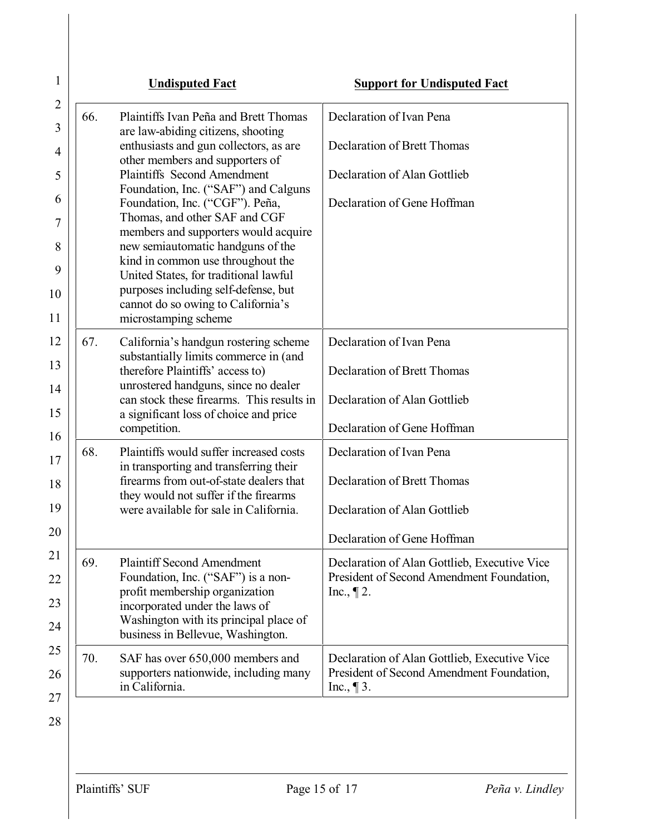| 1                   |     | <b>Undisputed Fact</b>                                                            | <b>Support for Undisputed Fact</b>                         |
|---------------------|-----|-----------------------------------------------------------------------------------|------------------------------------------------------------|
| $\overline{2}$<br>3 | 66. | Plaintiffs Ivan Peña and Brett Thomas                                             | Declaration of Ivan Pena                                   |
| 4                   |     | are law-abiding citizens, shooting<br>enthusiasts and gun collectors, as are      | Declaration of Brett Thomas                                |
| 5                   |     | other members and supporters of<br><b>Plaintiffs</b> Second Amendment             | Declaration of Alan Gottlieb                               |
| 6                   |     | Foundation, Inc. ("SAF") and Calguns<br>Foundation, Inc. ("CGF"). Peña,           | Declaration of Gene Hoffman                                |
| 7                   |     | Thomas, and other SAF and CGF<br>members and supporters would acquire             |                                                            |
| 8                   |     | new semiautomatic handguns of the<br>kind in common use throughout the            |                                                            |
| 9<br>10             |     | United States, for traditional lawful<br>purposes including self-defense, but     |                                                            |
| 11                  |     | cannot do so owing to California's<br>microstamping scheme                        |                                                            |
| 12                  | 67. | California's handgun rostering scheme                                             | Declaration of Ivan Pena                                   |
| 13                  |     | substantially limits commerce in (and<br>therefore Plaintiffs' access to)         | <b>Declaration of Brett Thomas</b>                         |
| 14                  |     | unrostered handguns, since no dealer<br>can stock these firearms. This results in | Declaration of Alan Gottlieb                               |
| 15                  |     | a significant loss of choice and price<br>competition.                            | Declaration of Gene Hoffman                                |
| 16<br>17            | 68. | Plaintiffs would suffer increased costs                                           | Declaration of Ivan Pena                                   |
| 18                  |     | in transporting and transferring their<br>firearms from out-of-state dealers that | <b>Declaration of Brett Thomas</b>                         |
| 19                  |     | they would not suffer if the firearms<br>were available for sale in California.   | Declaration of Alan Gottlieb                               |
| 20                  |     |                                                                                   | Declaration of Gene Hoffman                                |
| 21                  | 69. | <b>Plaintiff Second Amendment</b>                                                 | Declaration of Alan Gottlieb, Executive Vice               |
| 22<br>23            |     | Foundation, Inc. ("SAF") is a non-<br>profit membership organization              | President of Second Amendment Foundation,<br>Inc., $\P$ 2. |
| 24                  |     | incorporated under the laws of<br>Washington with its principal place of          |                                                            |
| 25                  | 70. | business in Bellevue, Washington.<br>SAF has over 650,000 members and             | Declaration of Alan Gottlieb, Executive Vice               |
| 26<br>27            |     | supporters nationwide, including many<br>in California.                           | President of Second Amendment Foundation,<br>Inc., $\P$ 3. |
|                     |     |                                                                                   |                                                            |

28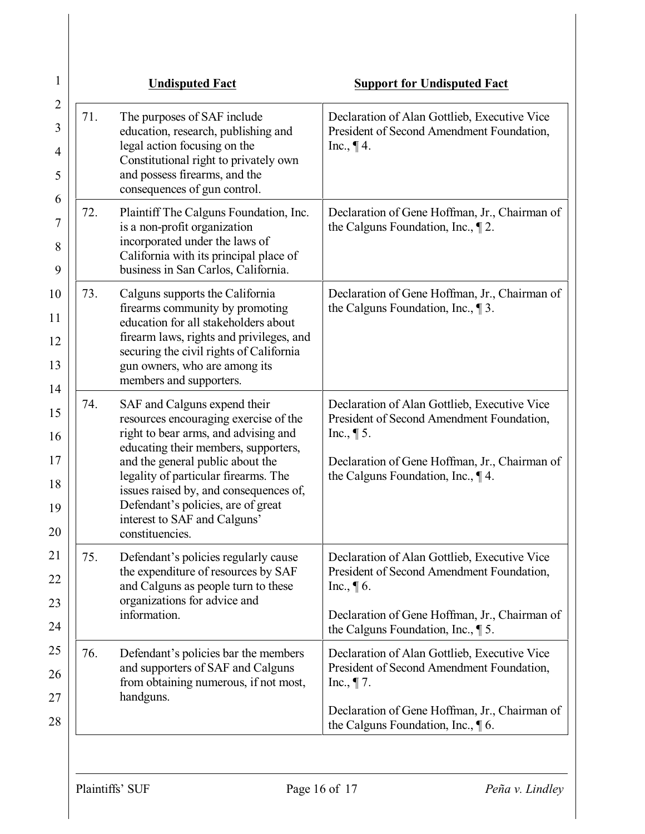| 1                                          |     | <b>Undisputed Fact</b>                                                                                                                                                                                                                                                                                                                                               | <b>Support for Undisputed Fact</b>                                                                                                                                                                   |
|--------------------------------------------|-----|----------------------------------------------------------------------------------------------------------------------------------------------------------------------------------------------------------------------------------------------------------------------------------------------------------------------------------------------------------------------|------------------------------------------------------------------------------------------------------------------------------------------------------------------------------------------------------|
| $\overline{2}$<br>3<br>$\overline{4}$<br>5 | 71. | The purposes of SAF include<br>education, research, publishing and<br>legal action focusing on the<br>Constitutional right to privately own<br>and possess firearms, and the<br>consequences of gun control.                                                                                                                                                         | Declaration of Alan Gottlieb, Executive Vice<br>President of Second Amendment Foundation,<br>Inc., $\P$ 4.                                                                                           |
| 6<br>$\overline{7}$<br>8<br>9              | 72. | Plaintiff The Calguns Foundation, Inc.<br>is a non-profit organization<br>incorporated under the laws of<br>California with its principal place of<br>business in San Carlos, California.                                                                                                                                                                            | Declaration of Gene Hoffman, Jr., Chairman of<br>the Calguns Foundation, Inc., $\P$ 2.                                                                                                               |
| 10<br>11<br>12<br>13<br>14                 | 73. | Calguns supports the California<br>firearms community by promoting<br>education for all stakeholders about<br>firearm laws, rights and privileges, and<br>securing the civil rights of California<br>gun owners, who are among its<br>members and supporters.                                                                                                        | Declaration of Gene Hoffman, Jr., Chairman of<br>the Calguns Foundation, Inc., $\P$ 3.                                                                                                               |
| 15<br>16<br>17<br>18<br>19<br>20           | 74. | SAF and Calguns expend their<br>resources encouraging exercise of the<br>right to bear arms, and advising and<br>educating their members, supporters,<br>and the general public about the<br>legality of particular firearms. The<br>issues raised by, and consequences of,<br>Defendant's policies, are of great<br>interest to SAF and Calguns'<br>constituencies. | Declaration of Alan Gottlieb, Executive Vice<br>President of Second Amendment Foundation,<br>Inc., $\P$ 5.<br>Declaration of Gene Hoffman, Jr., Chairman of<br>the Calguns Foundation, Inc., 14.     |
| 21<br>22<br>23<br>24                       | 75. | Defendant's policies regularly cause<br>the expenditure of resources by SAF<br>and Calguns as people turn to these<br>organizations for advice and<br>information.                                                                                                                                                                                                   | Declaration of Alan Gottlieb, Executive Vice<br>President of Second Amendment Foundation,<br>Inc., $\P$ 6.<br>Declaration of Gene Hoffman, Jr., Chairman of<br>the Calguns Foundation, Inc., $\P$ 5. |
| 25<br>26<br>27<br>28                       | 76. | Defendant's policies bar the members<br>and supporters of SAF and Calguns<br>from obtaining numerous, if not most,<br>handguns.                                                                                                                                                                                                                                      | Declaration of Alan Gottlieb, Executive Vice<br>President of Second Amendment Foundation,<br>Inc., $\P$ 7.<br>Declaration of Gene Hoffman, Jr., Chairman of<br>the Calguns Foundation, Inc., 16.     |